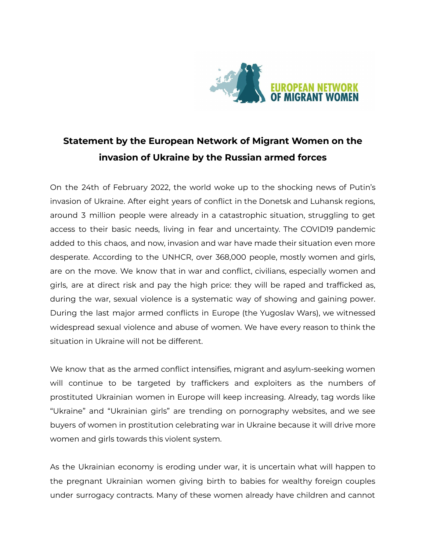

## **Statement by the European Network of Migrant Women on the invasion of Ukraine by the Russian armed forces**

On the 24th of February 2022, the world woke up to the shocking news of Putin's invasion of Ukraine. After eight years of conflict in the Donetsk and Luhansk regions, around 3 million people were already in a catastrophic situation, struggling to get access to their basic needs, living in fear and uncertainty. The COVID19 pandemic added to this chaos, and now, invasion and war have made their situation even more desperate. According to the UNHCR, over 368,000 people, mostly women and girls, are on the move. We know that in war and conflict, civilians, especially women and girls, are at direct risk and pay the high price: they will be raped and trafficked as, during the war, sexual violence is a systematic way of showing and gaining power. During the last major armed conflicts in Europe (the Yugoslav Wars), we witnessed widespread sexual violence and abuse of women. We have every reason to think the situation in Ukraine will not be different.

We know that as the armed conflict intensifies, migrant and asylum-seeking women will continue to be targeted by traffickers and exploiters as the numbers of prostituted Ukrainian women in Europe will keep increasing. Already, tag words like "Ukraine" and "Ukrainian girls" are trending on pornography websites, and we see buyers of women in prostitution celebrating war in Ukraine because it will drive more women and girls towards this violent system.

As the Ukrainian economy is eroding under war, it is uncertain what will happen to the pregnant Ukrainian women giving birth to babies for wealthy foreign couples under surrogacy contracts. Many of these women already have children and cannot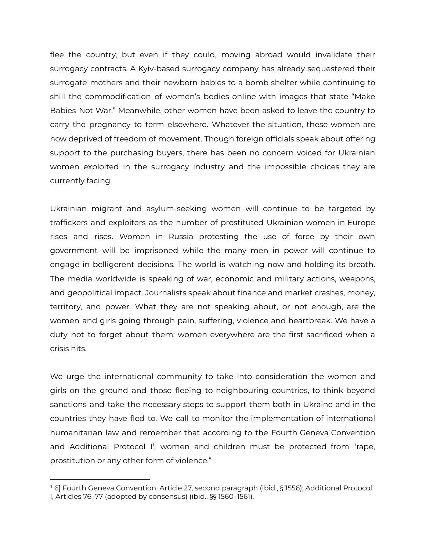flee the country, but even if they could, moving abroad would invalidate their surrogacy contracts. A Kyiv-based surrogacy company has already sequestered their surrogate mothers and their newborn babies to a bomb shelter while continuing to shill the commodification of women's bodies online with images that state "Make Babies Not War." Meanwhile, other women have been asked to leave the country to carry the pregnancy to term elsewhere. Whatever the situation, these women are now deprived of freedom of movement. Though foreign officials speak about offering support to the purchasing buyers, there has been no concern voiced for Ukrainian women exploited in the surrogacy industry and the impossible choices they are currently facing.

Ukrainian migrant and asylum-seeking women will continue to be targeted by traffickers and exploiters as the number of prostituted Ukrainian women in Europe rises and rises. Women in Russia protesting the use of force by their own government will be imprisoned while the many men in power will continue to engage in belligerent decisions. The world is watching now and holding its breath. The media worldwide is speaking of war, economic and military actions, weapons, and geopolitical impact. Journalists speak about finance and market crashes, money, territory, and power. What they are not speaking about, or not enough, are the women and girls going through pain, suffering, violence and heartbreak. We have a duty not to forget about them: women everywhere are the first sacrificed when a crisis hits.

We urge the international community to take into consideration the women and girls on the ground and those fleeing to neighbouring countries, to think beyond sanctions and take the necessary steps to support them both in Ukraine and in the countries they have fled to. We call to monitor the implementation of international humanitarian law and remember that according to the Fourth Geneva Convention and Additional Protocol I<sup>1</sup>, women and children must be protected from "rape, prostitution or any other form of violence."

<sup>1</sup> 6] Fourth Geneva Convention, Article 27, second paragraph (ibid., § 1556); Additional Protocol I, Articles 76–77 (adopted by consensus) (ibid., §§ 1560–1561).